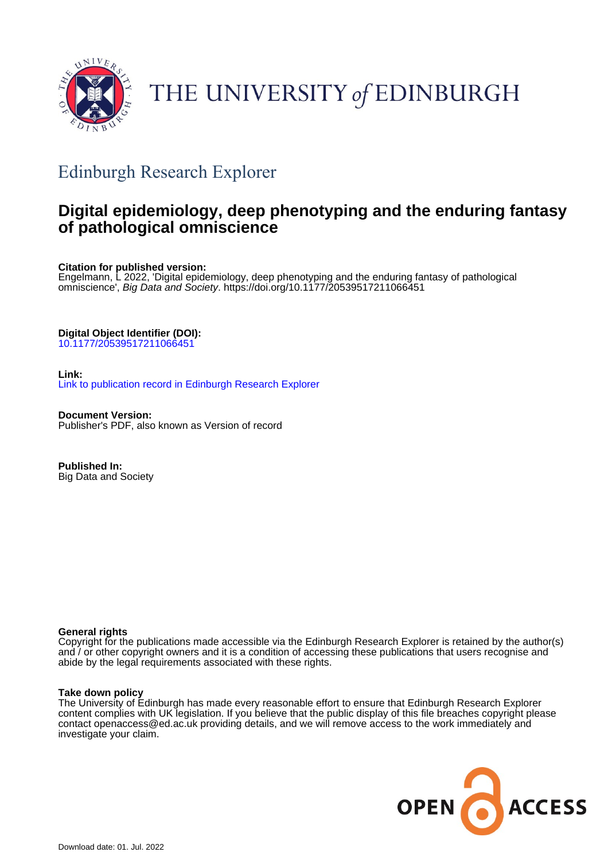

# THE UNIVERSITY of EDINBURGH

## Edinburgh Research Explorer

## **Digital epidemiology, deep phenotyping and the enduring fantasy of pathological omniscience**

**Citation for published version:**

Engelmann, L 2022, 'Digital epidemiology, deep phenotyping and the enduring fantasy of pathological omniscience', Big Data and Society. <https://doi.org/10.1177/20539517211066451>

**Digital Object Identifier (DOI):**

[10.1177/20539517211066451](https://doi.org/10.1177/20539517211066451)

**Link:** [Link to publication record in Edinburgh Research Explorer](https://www.research.ed.ac.uk/en/publications/e17014ee-e858-48f7-adbc-7ebd0a2861c4)

**Document Version:** Publisher's PDF, also known as Version of record

**Published In:** Big Data and Society

## **General rights**

Copyright for the publications made accessible via the Edinburgh Research Explorer is retained by the author(s) and / or other copyright owners and it is a condition of accessing these publications that users recognise and abide by the legal requirements associated with these rights.

## **Take down policy**

The University of Edinburgh has made every reasonable effort to ensure that Edinburgh Research Explorer content complies with UK legislation. If you believe that the public display of this file breaches copyright please contact openaccess@ed.ac.uk providing details, and we will remove access to the work immediately and investigate your claim.

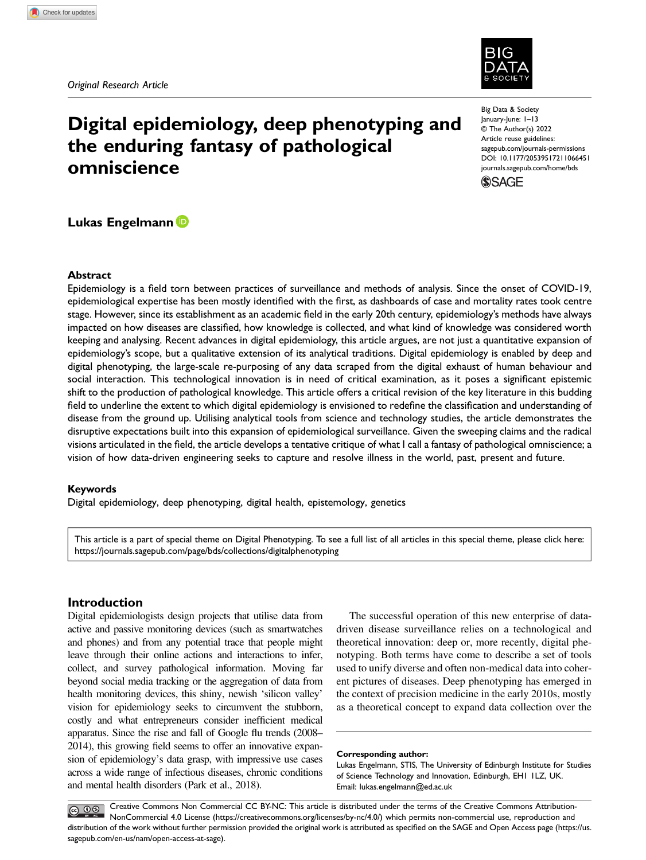## Digital epidemiology, deep phenotyping and the enduring fantasy of pathological omniscience

Big Data & Society January-June: 1–13 © The Author(s) 2022 Article reuse guidelines: [sagepub.com/journals-permissions](https://us.sagepub.com/en-us/journals-permissions) DOI: 10.1177/20539517211066451 [journals.sagepub.com/home/bds](https://journals.sagepub.com/home/bds)



## Lukas Engelmann

#### Abstract

Epidemiology is a field torn between practices of surveillance and methods of analysis. Since the onset of COVID-19, epidemiological expertise has been mostly identified with the first, as dashboards of case and mortality rates took centre stage. However, since its establishment as an academic field in the early 20th century, epidemiology's methods have always impacted on how diseases are classified, how knowledge is collected, and what kind of knowledge was considered worth keeping and analysing. Recent advances in digital epidemiology, this article argues, are not just a quantitative expansion of epidemiology's scope, but a qualitative extension of its analytical traditions. Digital epidemiology is enabled by deep and digital phenotyping, the large-scale re-purposing of any data scraped from the digital exhaust of human behaviour and social interaction. This technological innovation is in need of critical examination, as it poses a significant epistemic shift to the production of pathological knowledge. This article offers a critical revision of the key literature in this budding field to underline the extent to which digital epidemiology is envisioned to redefine the classification and understanding of disease from the ground up. Utilising analytical tools from science and technology studies, the article demonstrates the disruptive expectations built into this expansion of epidemiological surveillance. Given the sweeping claims and the radical visions articulated in the field, the article develops a tentative critique of what I call a fantasy of pathological omniscience; a vision of how data-driven engineering seeks to capture and resolve illness in the world, past, present and future.

#### Keywords

Digital epidemiology, deep phenotyping, digital health, epistemology, genetics

This article is a part of special theme on Digital Phenotyping. To see a full list of all articles in this special theme, please click here: <https://journals.sagepub.com/page/bds/collections/digitalphenotyping>

## Introduction

Digital epidemiologists design projects that utilise data from active and passive monitoring devices (such as smartwatches and phones) and from any potential trace that people might leave through their online actions and interactions to infer, collect, and survey pathological information. Moving far beyond social media tracking or the aggregation of data from health monitoring devices, this shiny, newish 'silicon valley' vision for epidemiology seeks to circumvent the stubborn, costly and what entrepreneurs consider inefficient medical apparatus. Since the rise and fall of Google flu trends (2008– 2014), this growing field seems to offer an innovative expansion of epidemiology's data grasp, with impressive use cases across a wide range of infectious diseases, chronic conditions and mental health disorders (Park et al., 2018).

The successful operation of this new enterprise of datadriven disease surveillance relies on a technological and theoretical innovation: deep or, more recently, digital phenotyping. Both terms have come to describe a set of tools used to unify diverse and often non-medical data into coherent pictures of diseases. Deep phenotyping has emerged in the context of precision medicine in the early 2010s, mostly as a theoretical concept to expand data collection over the

#### Corresponding author:

Lukas Engelmann, STIS, The University of Edinburgh Institute for Studies of Science Technology and Innovation, Edinburgh, EH1 1LZ, UK. Email: [lukas.engelmann@ed.ac.uk](mailto:lukas.engelmann@ed.ac.uk)

Creative Commons Non Commercial CC BY-NC: This article is distributed under the terms of the Creative Commons Attribution- $\circledcirc$   $\circledcirc$ NonCommercial 4.0 License ([https://creativecommons.org/licenses/by-nc/4.0/\) which permits non-commercial use, reproduction and](https://creativecommons.org/licenses/by-nc/4.0/) [distribution of the work without further permission provided the original work is attributed as speci](https://us.sagepub.com/en-us/nam/open-access-at-sage)fied on the SAGE and Open Access page (https://us. [sagepub.com/en-us/nam/open-access-at-sage\).](https://us.sagepub.com/en-us/nam/open-access-at-sage)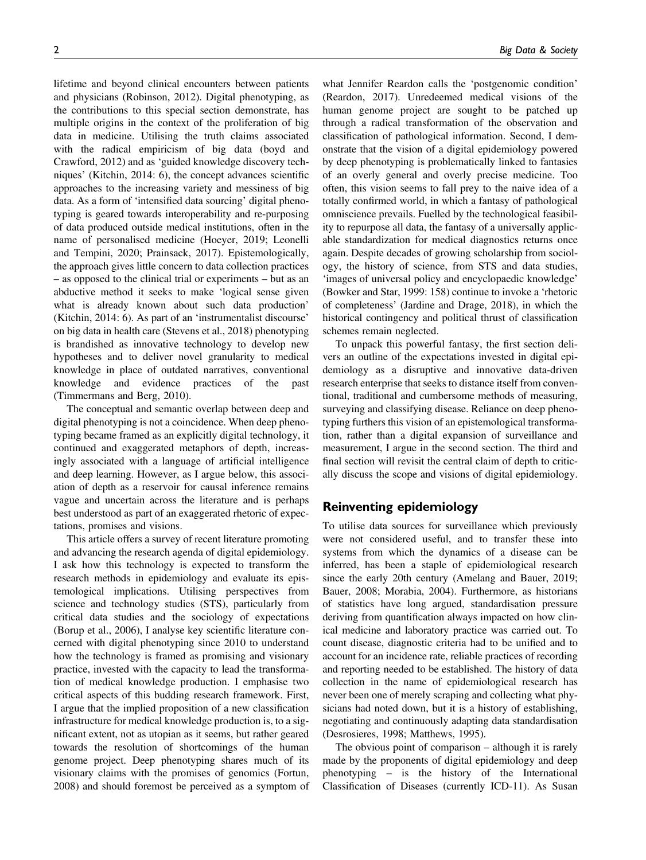lifetime and beyond clinical encounters between patients and physicians (Robinson, 2012). Digital phenotyping, as the contributions to this special section demonstrate, has multiple origins in the context of the proliferation of big data in medicine. Utilising the truth claims associated with the radical empiricism of big data (boyd and Crawford, 2012) and as 'guided knowledge discovery techniques' (Kitchin, 2014: 6), the concept advances scientific approaches to the increasing variety and messiness of big data. As a form of 'intensified data sourcing' digital phenotyping is geared towards interoperability and re-purposing of data produced outside medical institutions, often in the name of personalised medicine (Hoeyer, 2019; Leonelli and Tempini, 2020; Prainsack, 2017). Epistemologically, the approach gives little concern to data collection practices – as opposed to the clinical trial or experiments – but as an abductive method it seeks to make 'logical sense given what is already known about such data production' (Kitchin, 2014: 6). As part of an 'instrumentalist discourse' on big data in health care (Stevens et al., 2018) phenotyping is brandished as innovative technology to develop new hypotheses and to deliver novel granularity to medical knowledge in place of outdated narratives, conventional knowledge and evidence practices of the past (Timmermans and Berg, 2010).

The conceptual and semantic overlap between deep and digital phenotyping is not a coincidence. When deep phenotyping became framed as an explicitly digital technology, it continued and exaggerated metaphors of depth, increasingly associated with a language of artificial intelligence and deep learning. However, as I argue below, this association of depth as a reservoir for causal inference remains vague and uncertain across the literature and is perhaps best understood as part of an exaggerated rhetoric of expectations, promises and visions.

This article offers a survey of recent literature promoting and advancing the research agenda of digital epidemiology. I ask how this technology is expected to transform the research methods in epidemiology and evaluate its epistemological implications. Utilising perspectives from science and technology studies (STS), particularly from critical data studies and the sociology of expectations (Borup et al., 2006), I analyse key scientific literature concerned with digital phenotyping since 2010 to understand how the technology is framed as promising and visionary practice, invested with the capacity to lead the transformation of medical knowledge production. I emphasise two critical aspects of this budding research framework. First, I argue that the implied proposition of a new classification infrastructure for medical knowledge production is, to a significant extent, not as utopian as it seems, but rather geared towards the resolution of shortcomings of the human genome project. Deep phenotyping shares much of its visionary claims with the promises of genomics (Fortun, 2008) and should foremost be perceived as a symptom of

what Jennifer Reardon calls the 'postgenomic condition' (Reardon, 2017). Unredeemed medical visions of the human genome project are sought to be patched up through a radical transformation of the observation and classification of pathological information. Second, I demonstrate that the vision of a digital epidemiology powered by deep phenotyping is problematically linked to fantasies of an overly general and overly precise medicine. Too often, this vision seems to fall prey to the naive idea of a totally confirmed world, in which a fantasy of pathological omniscience prevails. Fuelled by the technological feasibility to repurpose all data, the fantasy of a universally applicable standardization for medical diagnostics returns once again. Despite decades of growing scholarship from sociology, the history of science, from STS and data studies, 'images of universal policy and encyclopaedic knowledge' (Bowker and Star, 1999: 158) continue to invoke a 'rhetoric of completeness' (Jardine and Drage, 2018), in which the historical contingency and political thrust of classification schemes remain neglected.

To unpack this powerful fantasy, the first section delivers an outline of the expectations invested in digital epidemiology as a disruptive and innovative data-driven research enterprise that seeks to distance itself from conventional, traditional and cumbersome methods of measuring, surveying and classifying disease. Reliance on deep phenotyping furthers this vision of an epistemological transformation, rather than a digital expansion of surveillance and measurement, I argue in the second section. The third and final section will revisit the central claim of depth to critically discuss the scope and visions of digital epidemiology.

### Reinventing epidemiology

To utilise data sources for surveillance which previously were not considered useful, and to transfer these into systems from which the dynamics of a disease can be inferred, has been a staple of epidemiological research since the early 20th century (Amelang and Bauer, 2019; Bauer, 2008; Morabia, 2004). Furthermore, as historians of statistics have long argued, standardisation pressure deriving from quantification always impacted on how clinical medicine and laboratory practice was carried out. To count disease, diagnostic criteria had to be unified and to account for an incidence rate, reliable practices of recording and reporting needed to be established. The history of data collection in the name of epidemiological research has never been one of merely scraping and collecting what physicians had noted down, but it is a history of establishing, negotiating and continuously adapting data standardisation (Desrosieres, 1998; Matthews, 1995).

The obvious point of comparison – although it is rarely made by the proponents of digital epidemiology and deep phenotyping – is the history of the International Classification of Diseases (currently ICD-11). As Susan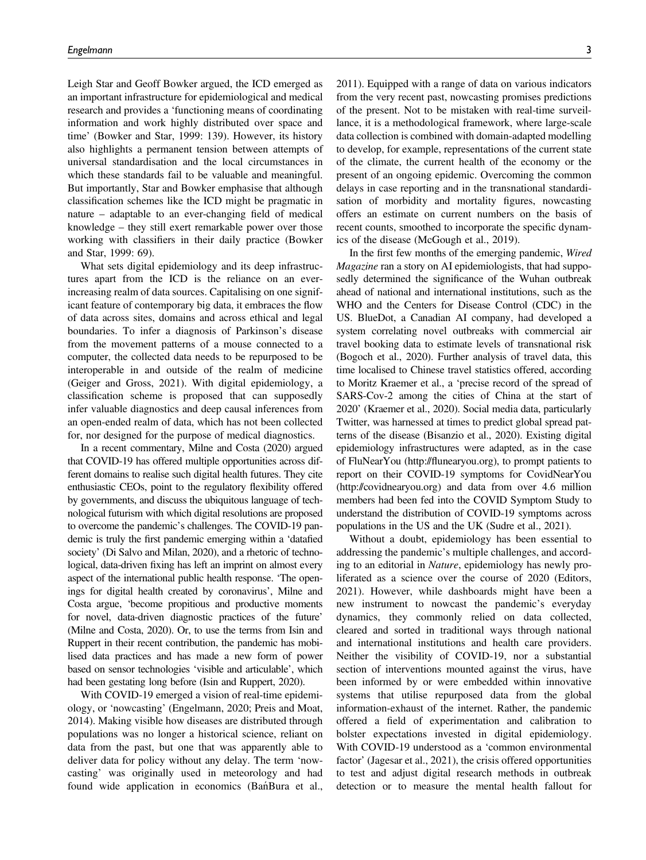Leigh Star and Geoff Bowker argued, the ICD emerged as an important infrastructure for epidemiological and medical research and provides a 'functioning means of coordinating information and work highly distributed over space and time' (Bowker and Star, 1999: 139). However, its history also highlights a permanent tension between attempts of universal standardisation and the local circumstances in which these standards fail to be valuable and meaningful. But importantly, Star and Bowker emphasise that although classification schemes like the ICD might be pragmatic in nature – adaptable to an ever-changing field of medical knowledge – they still exert remarkable power over those working with classifiers in their daily practice (Bowker and Star, 1999: 69).

What sets digital epidemiology and its deep infrastructures apart from the ICD is the reliance on an everincreasing realm of data sources. Capitalising on one significant feature of contemporary big data, it embraces the flow of data across sites, domains and across ethical and legal boundaries. To infer a diagnosis of Parkinson's disease from the movement patterns of a mouse connected to a computer, the collected data needs to be repurposed to be interoperable in and outside of the realm of medicine (Geiger and Gross, 2021). With digital epidemiology, a classification scheme is proposed that can supposedly infer valuable diagnostics and deep causal inferences from an open-ended realm of data, which has not been collected for, nor designed for the purpose of medical diagnostics.

In a recent commentary, Milne and Costa (2020) argued that COVID-19 has offered multiple opportunities across different domains to realise such digital health futures. They cite enthusiastic CEOs, point to the regulatory flexibility offered by governments, and discuss the ubiquitous language of technological futurism with which digital resolutions are proposed to overcome the pandemic's challenges. The COVID-19 pandemic is truly the first pandemic emerging within a 'datafied society' (Di Salvo and Milan, 2020), and a rhetoric of technological, data-driven fixing has left an imprint on almost every aspect of the international public health response. 'The openings for digital health created by coronavirus', Milne and Costa argue, 'become propitious and productive moments for novel, data-driven diagnostic practices of the future' (Milne and Costa, 2020). Or, to use the terms from Isin and Ruppert in their recent contribution, the pandemic has mobilised data practices and has made a new form of power based on sensor technologies 'visible and articulable', which had been gestating long before (Isin and Ruppert, 2020).

With COVID-19 emerged a vision of real-time epidemiology, or 'nowcasting' (Engelmann, 2020; Preis and Moat, 2014). Making visible how diseases are distributed through populations was no longer a historical science, reliant on data from the past, but one that was apparently able to deliver data for policy without any delay. The term 'nowcasting' was originally used in meteorology and had found wide application in economics (Bań Bura et al.,

2011). Equipped with a range of data on various indicators from the very recent past, nowcasting promises predictions of the present. Not to be mistaken with real-time surveillance, it is a methodological framework, where large-scale data collection is combined with domain-adapted modelling to develop, for example, representations of the current state of the climate, the current health of the economy or the present of an ongoing epidemic. Overcoming the common delays in case reporting and in the transnational standardisation of morbidity and mortality figures, nowcasting offers an estimate on current numbers on the basis of recent counts, smoothed to incorporate the specific dynamics of the disease (McGough et al., 2019).

In the first few months of the emerging pandemic, Wired Magazine ran a story on AI epidemiologists, that had supposedly determined the significance of the Wuhan outbreak ahead of national and international institutions, such as the WHO and the Centers for Disease Control (CDC) in the US. BlueDot, a Canadian AI company, had developed a system correlating novel outbreaks with commercial air travel booking data to estimate levels of transnational risk (Bogoch et al., 2020). Further analysis of travel data, this time localised to Chinese travel statistics offered, according to Moritz Kraemer et al., a 'precise record of the spread of SARS-Cov-2 among the cities of China at the start of 2020' (Kraemer et al., 2020). Social media data, particularly Twitter, was harnessed at times to predict global spread patterns of the disease (Bisanzio et al., 2020). Existing digital epidemiology infrastructures were adapted, as in the case of FluNearYou [\(http:/](http://flunearyou.org)/fl[unearyou.org](http://flunearyou.org)), to prompt patients to report on their COVID-19 symptoms for CovidNearYou [\(http://covidnearyou.org\)](http://covidnearyou.org) and data from over 4.6 million members had been fed into the COVID Symptom Study to understand the distribution of COVID-19 symptoms across populations in the US and the UK (Sudre et al., 2021).

Without a doubt, epidemiology has been essential to addressing the pandemic's multiple challenges, and according to an editorial in Nature, epidemiology has newly proliferated as a science over the course of 2020 (Editors, 2021). However, while dashboards might have been a new instrument to nowcast the pandemic's everyday dynamics, they commonly relied on data collected, cleared and sorted in traditional ways through national and international institutions and health care providers. Neither the visibility of COVID-19, nor a substantial section of interventions mounted against the virus, have been informed by or were embedded within innovative systems that utilise repurposed data from the global information-exhaust of the internet. Rather, the pandemic offered a field of experimentation and calibration to bolster expectations invested in digital epidemiology. With COVID-19 understood as a 'common environmental factor' (Jagesar et al., 2021), the crisis offered opportunities to test and adjust digital research methods in outbreak detection or to measure the mental health fallout for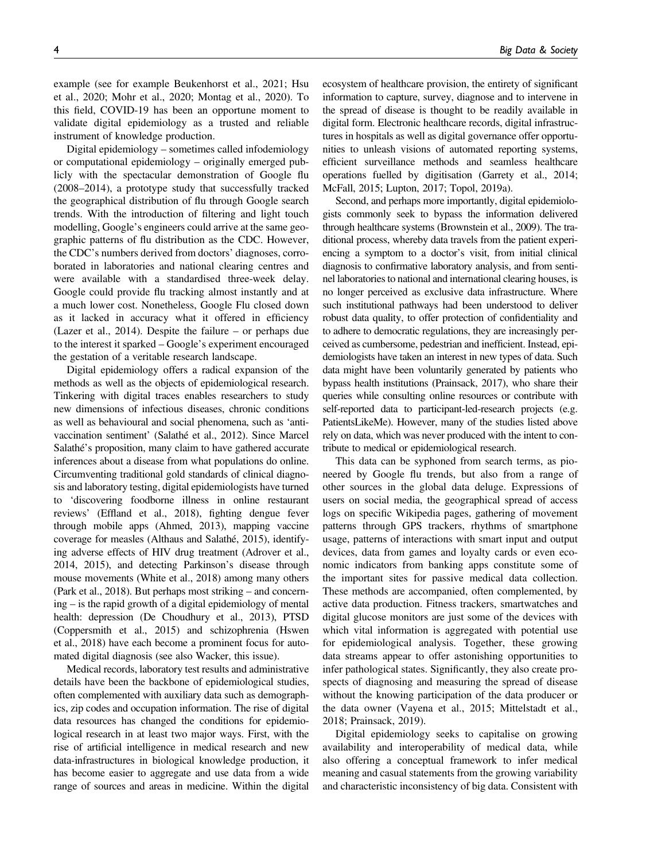example (see for example Beukenhorst et al., 2021; Hsu et al., 2020; Mohr et al., 2020; Montag et al., 2020). To this field, COVID-19 has been an opportune moment to validate digital epidemiology as a trusted and reliable instrument of knowledge production.

Digital epidemiology – sometimes called infodemiology or computational epidemiology – originally emerged publicly with the spectacular demonstration of Google flu (2008–2014), a prototype study that successfully tracked the geographical distribution of flu through Google search trends. With the introduction of filtering and light touch modelling, Google's engineers could arrive at the same geographic patterns of flu distribution as the CDC. However, the CDC's numbers derived from doctors' diagnoses, corroborated in laboratories and national clearing centres and were available with a standardised three-week delay. Google could provide flu tracking almost instantly and at a much lower cost. Nonetheless, Google Flu closed down as it lacked in accuracy what it offered in efficiency (Lazer et al., 2014). Despite the failure – or perhaps due to the interest it sparked – Google's experiment encouraged the gestation of a veritable research landscape.

Digital epidemiology offers a radical expansion of the methods as well as the objects of epidemiological research. Tinkering with digital traces enables researchers to study new dimensions of infectious diseases, chronic conditions as well as behavioural and social phenomena, such as 'antivaccination sentiment' (Salathé et al., 2012). Since Marcel Salathé's proposition, many claim to have gathered accurate inferences about a disease from what populations do online. Circumventing traditional gold standards of clinical diagnosis and laboratory testing, digital epidemiologists have turned to 'discovering foodborne illness in online restaurant reviews' (Effland et al., 2018), fighting dengue fever through mobile apps (Ahmed, 2013), mapping vaccine coverage for measles (Althaus and Salathé, 2015), identifying adverse effects of HIV drug treatment (Adrover et al., 2014, 2015), and detecting Parkinson's disease through mouse movements (White et al., 2018) among many others (Park et al., 2018). But perhaps most striking – and concerning – is the rapid growth of a digital epidemiology of mental health: depression (De Choudhury et al., 2013), PTSD (Coppersmith et al., 2015) and schizophrenia (Hswen et al., 2018) have each become a prominent focus for automated digital diagnosis (see also Wacker, this issue).

Medical records, laboratory test results and administrative details have been the backbone of epidemiological studies, often complemented with auxiliary data such as demographics, zip codes and occupation information. The rise of digital data resources has changed the conditions for epidemiological research in at least two major ways. First, with the rise of artificial intelligence in medical research and new data-infrastructures in biological knowledge production, it has become easier to aggregate and use data from a wide range of sources and areas in medicine. Within the digital

ecosystem of healthcare provision, the entirety of significant information to capture, survey, diagnose and to intervene in the spread of disease is thought to be readily available in digital form. Electronic healthcare records, digital infrastructures in hospitals as well as digital governance offer opportunities to unleash visions of automated reporting systems, efficient surveillance methods and seamless healthcare operations fuelled by digitisation (Garrety et al., 2014; McFall, 2015; Lupton, 2017; Topol, 2019a).

Second, and perhaps more importantly, digital epidemiologists commonly seek to bypass the information delivered through healthcare systems (Brownstein et al., 2009). The traditional process, whereby data travels from the patient experiencing a symptom to a doctor's visit, from initial clinical diagnosis to confirmative laboratory analysis, and from sentinel laboratories to national and international clearing houses, is no longer perceived as exclusive data infrastructure. Where such institutional pathways had been understood to deliver robust data quality, to offer protection of confidentiality and to adhere to democratic regulations, they are increasingly perceived as cumbersome, pedestrian and inefficient. Instead, epidemiologists have taken an interest in new types of data. Such data might have been voluntarily generated by patients who bypass health institutions (Prainsack, 2017), who share their queries while consulting online resources or contribute with self-reported data to participant-led-research projects (e.g. PatientsLikeMe). However, many of the studies listed above rely on data, which was never produced with the intent to contribute to medical or epidemiological research.

This data can be syphoned from search terms, as pioneered by Google flu trends, but also from a range of other sources in the global data deluge. Expressions of users on social media, the geographical spread of access logs on specific Wikipedia pages, gathering of movement patterns through GPS trackers, rhythms of smartphone usage, patterns of interactions with smart input and output devices, data from games and loyalty cards or even economic indicators from banking apps constitute some of the important sites for passive medical data collection. These methods are accompanied, often complemented, by active data production. Fitness trackers, smartwatches and digital glucose monitors are just some of the devices with which vital information is aggregated with potential use for epidemiological analysis. Together, these growing data streams appear to offer astonishing opportunities to infer pathological states. Significantly, they also create prospects of diagnosing and measuring the spread of disease without the knowing participation of the data producer or the data owner (Vayena et al., 2015; Mittelstadt et al., 2018; Prainsack, 2019).

Digital epidemiology seeks to capitalise on growing availability and interoperability of medical data, while also offering a conceptual framework to infer medical meaning and casual statements from the growing variability and characteristic inconsistency of big data. Consistent with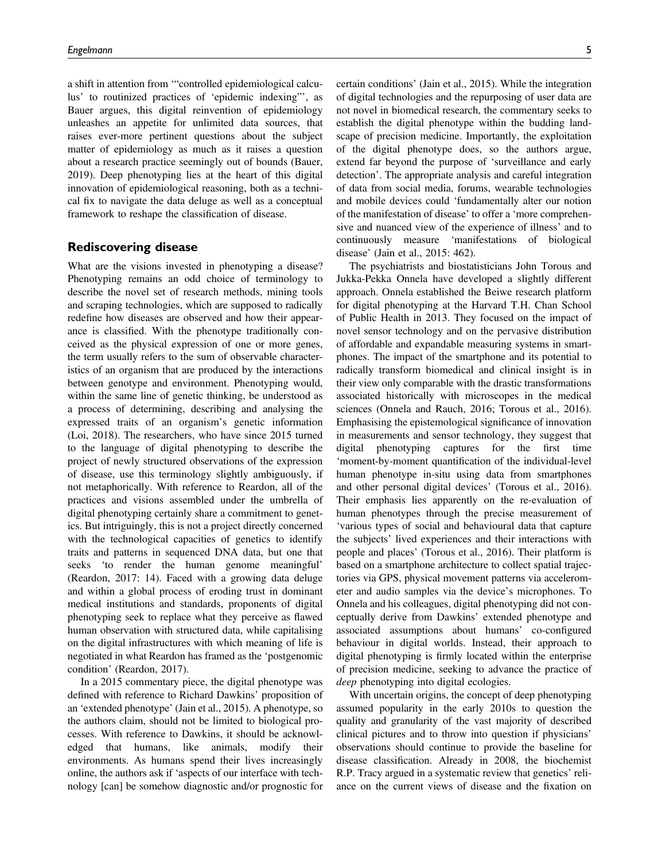a shift in attention from '"controlled epidemiological calculus' to routinized practices of 'epidemic indexing"', as Bauer argues, this digital reinvention of epidemiology unleashes an appetite for unlimited data sources, that raises ever-more pertinent questions about the subject matter of epidemiology as much as it raises a question about a research practice seemingly out of bounds (Bauer, 2019). Deep phenotyping lies at the heart of this digital innovation of epidemiological reasoning, both as a technical fix to navigate the data deluge as well as a conceptual framework to reshape the classification of disease.

### Rediscovering disease

What are the visions invested in phenotyping a disease? Phenotyping remains an odd choice of terminology to describe the novel set of research methods, mining tools and scraping technologies, which are supposed to radically redefine how diseases are observed and how their appearance is classified. With the phenotype traditionally conceived as the physical expression of one or more genes, the term usually refers to the sum of observable characteristics of an organism that are produced by the interactions between genotype and environment. Phenotyping would, within the same line of genetic thinking, be understood as a process of determining, describing and analysing the expressed traits of an organism's genetic information (Loi, 2018). The researchers, who have since 2015 turned to the language of digital phenotyping to describe the project of newly structured observations of the expression of disease, use this terminology slightly ambiguously, if not metaphorically. With reference to Reardon, all of the practices and visions assembled under the umbrella of digital phenotyping certainly share a commitment to genetics. But intriguingly, this is not a project directly concerned with the technological capacities of genetics to identify traits and patterns in sequenced DNA data, but one that seeks 'to render the human genome meaningful' (Reardon, 2017: 14). Faced with a growing data deluge and within a global process of eroding trust in dominant medical institutions and standards, proponents of digital phenotyping seek to replace what they perceive as flawed human observation with structured data, while capitalising on the digital infrastructures with which meaning of life is negotiated in what Reardon has framed as the 'postgenomic condition' (Reardon, 2017).

In a 2015 commentary piece, the digital phenotype was defined with reference to Richard Dawkins' proposition of an 'extended phenotype' (Jain et al., 2015). A phenotype, so the authors claim, should not be limited to biological processes. With reference to Dawkins, it should be acknowledged that humans, like animals, modify their environments. As humans spend their lives increasingly online, the authors ask if 'aspects of our interface with technology [can] be somehow diagnostic and/or prognostic for

certain conditions' (Jain et al., 2015). While the integration of digital technologies and the repurposing of user data are not novel in biomedical research, the commentary seeks to establish the digital phenotype within the budding landscape of precision medicine. Importantly, the exploitation of the digital phenotype does, so the authors argue, extend far beyond the purpose of 'surveillance and early detection'. The appropriate analysis and careful integration of data from social media, forums, wearable technologies and mobile devices could 'fundamentally alter our notion of the manifestation of disease' to offer a 'more comprehensive and nuanced view of the experience of illness' and to continuously measure 'manifestations of biological disease' (Jain et al., 2015: 462).

The psychiatrists and biostatisticians John Torous and Jukka-Pekka Onnela have developed a slightly different approach. Onnela established the Beiwe research platform for digital phenotyping at the Harvard T.H. Chan School of Public Health in 2013. They focused on the impact of novel sensor technology and on the pervasive distribution of affordable and expandable measuring systems in smartphones. The impact of the smartphone and its potential to radically transform biomedical and clinical insight is in their view only comparable with the drastic transformations associated historically with microscopes in the medical sciences (Onnela and Rauch, 2016; Torous et al., 2016). Emphasising the epistemological significance of innovation in measurements and sensor technology, they suggest that digital phenotyping captures for the first time 'moment-by-moment quantification of the individual-level human phenotype in-situ using data from smartphones and other personal digital devices' (Torous et al., 2016). Their emphasis lies apparently on the re-evaluation of human phenotypes through the precise measurement of 'various types of social and behavioural data that capture the subjects' lived experiences and their interactions with people and places' (Torous et al., 2016). Their platform is based on a smartphone architecture to collect spatial trajectories via GPS, physical movement patterns via accelerometer and audio samples via the device's microphones. To Onnela and his colleagues, digital phenotyping did not conceptually derive from Dawkins' extended phenotype and associated assumptions about humans' co-configured behaviour in digital worlds. Instead, their approach to digital phenotyping is firmly located within the enterprise of precision medicine, seeking to advance the practice of deep phenotyping into digital ecologies.

With uncertain origins, the concept of deep phenotyping assumed popularity in the early 2010s to question the quality and granularity of the vast majority of described clinical pictures and to throw into question if physicians' observations should continue to provide the baseline for disease classification. Already in 2008, the biochemist R.P. Tracy argued in a systematic review that genetics' reliance on the current views of disease and the fixation on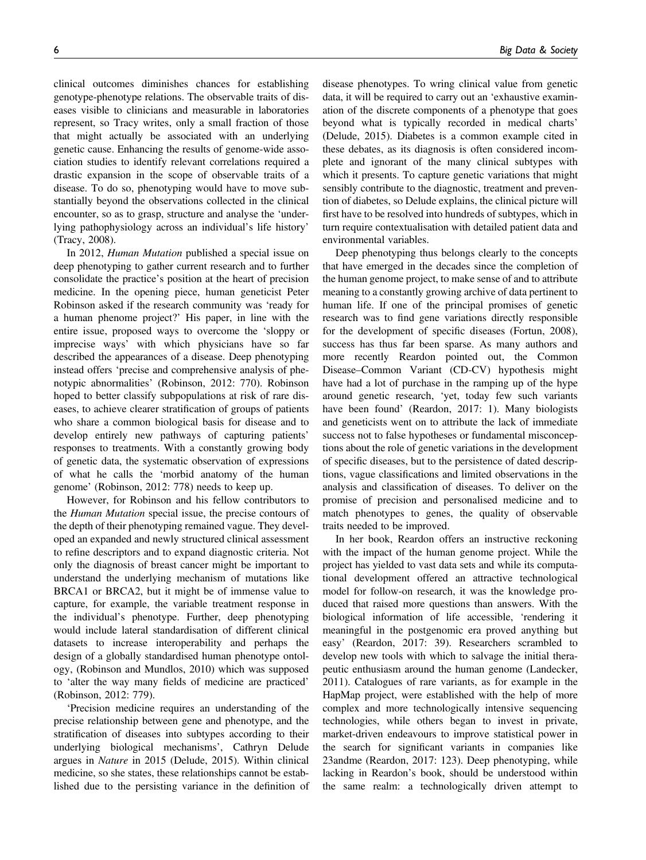clinical outcomes diminishes chances for establishing genotype-phenotype relations. The observable traits of diseases visible to clinicians and measurable in laboratories represent, so Tracy writes, only a small fraction of those that might actually be associated with an underlying genetic cause. Enhancing the results of genome-wide association studies to identify relevant correlations required a drastic expansion in the scope of observable traits of a disease. To do so, phenotyping would have to move substantially beyond the observations collected in the clinical encounter, so as to grasp, structure and analyse the 'underlying pathophysiology across an individual's life history' (Tracy, 2008).

In 2012, Human Mutation published a special issue on deep phenotyping to gather current research and to further consolidate the practice's position at the heart of precision medicine. In the opening piece, human geneticist Peter Robinson asked if the research community was 'ready for a human phenome project?' His paper, in line with the entire issue, proposed ways to overcome the 'sloppy or imprecise ways' with which physicians have so far described the appearances of a disease. Deep phenotyping instead offers 'precise and comprehensive analysis of phenotypic abnormalities' (Robinson, 2012: 770). Robinson hoped to better classify subpopulations at risk of rare diseases, to achieve clearer stratification of groups of patients who share a common biological basis for disease and to develop entirely new pathways of capturing patients' responses to treatments. With a constantly growing body of genetic data, the systematic observation of expressions of what he calls the 'morbid anatomy of the human genome' (Robinson, 2012: 778) needs to keep up.

However, for Robinson and his fellow contributors to the Human Mutation special issue, the precise contours of the depth of their phenotyping remained vague. They developed an expanded and newly structured clinical assessment to refine descriptors and to expand diagnostic criteria. Not only the diagnosis of breast cancer might be important to understand the underlying mechanism of mutations like BRCA1 or BRCA2, but it might be of immense value to capture, for example, the variable treatment response in the individual's phenotype. Further, deep phenotyping would include lateral standardisation of different clinical datasets to increase interoperability and perhaps the design of a globally standardised human phenotype ontology, (Robinson and Mundlos, 2010) which was supposed to 'alter the way many fields of medicine are practiced' (Robinson, 2012: 779).

'Precision medicine requires an understanding of the precise relationship between gene and phenotype, and the stratification of diseases into subtypes according to their underlying biological mechanisms', Cathryn Delude argues in Nature in 2015 (Delude, 2015). Within clinical medicine, so she states, these relationships cannot be established due to the persisting variance in the definition of

disease phenotypes. To wring clinical value from genetic data, it will be required to carry out an 'exhaustive examination of the discrete components of a phenotype that goes beyond what is typically recorded in medical charts' (Delude, 2015). Diabetes is a common example cited in these debates, as its diagnosis is often considered incomplete and ignorant of the many clinical subtypes with which it presents. To capture genetic variations that might sensibly contribute to the diagnostic, treatment and prevention of diabetes, so Delude explains, the clinical picture will first have to be resolved into hundreds of subtypes, which in turn require contextualisation with detailed patient data and environmental variables.

Deep phenotyping thus belongs clearly to the concepts that have emerged in the decades since the completion of the human genome project, to make sense of and to attribute meaning to a constantly growing archive of data pertinent to human life. If one of the principal promises of genetic research was to find gene variations directly responsible for the development of specific diseases (Fortun, 2008), success has thus far been sparse. As many authors and more recently Reardon pointed out, the Common Disease–Common Variant (CD-CV) hypothesis might have had a lot of purchase in the ramping up of the hype around genetic research, 'yet, today few such variants have been found' (Reardon, 2017: 1). Many biologists and geneticists went on to attribute the lack of immediate success not to false hypotheses or fundamental misconceptions about the role of genetic variations in the development of specific diseases, but to the persistence of dated descriptions, vague classifications and limited observations in the analysis and classification of diseases. To deliver on the promise of precision and personalised medicine and to match phenotypes to genes, the quality of observable traits needed to be improved.

In her book, Reardon offers an instructive reckoning with the impact of the human genome project. While the project has yielded to vast data sets and while its computational development offered an attractive technological model for follow-on research, it was the knowledge produced that raised more questions than answers. With the biological information of life accessible, 'rendering it meaningful in the postgenomic era proved anything but easy' (Reardon, 2017: 39). Researchers scrambled to develop new tools with which to salvage the initial therapeutic enthusiasm around the human genome (Landecker, 2011). Catalogues of rare variants, as for example in the HapMap project, were established with the help of more complex and more technologically intensive sequencing technologies, while others began to invest in private, market-driven endeavours to improve statistical power in the search for significant variants in companies like 23andme (Reardon, 2017: 123). Deep phenotyping, while lacking in Reardon's book, should be understood within the same realm: a technologically driven attempt to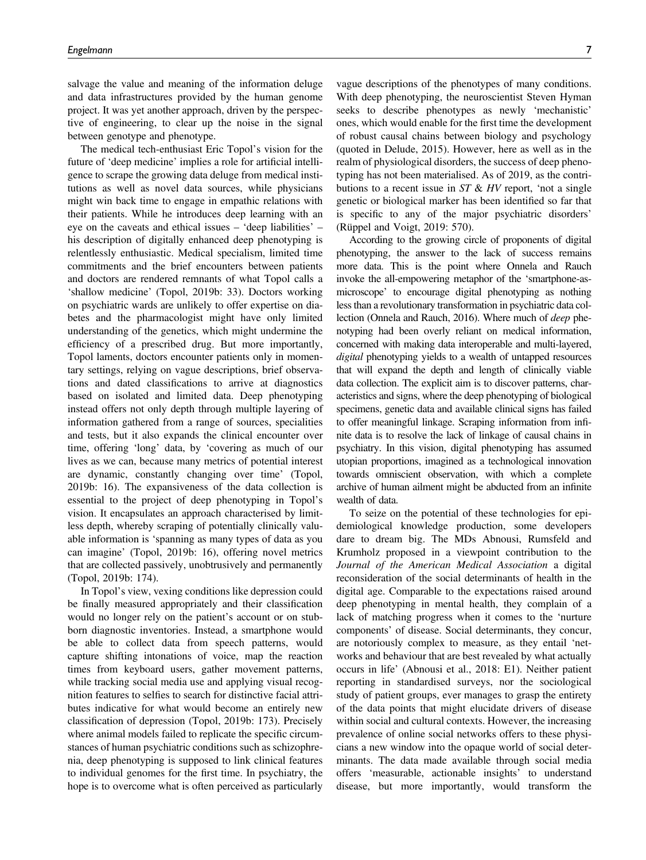salvage the value and meaning of the information deluge and data infrastructures provided by the human genome project. It was yet another approach, driven by the perspective of engineering, to clear up the noise in the signal between genotype and phenotype.

The medical tech-enthusiast Eric Topol's vision for the future of 'deep medicine' implies a role for artificial intelligence to scrape the growing data deluge from medical institutions as well as novel data sources, while physicians might win back time to engage in empathic relations with their patients. While he introduces deep learning with an eye on the caveats and ethical issues – 'deep liabilities' – his description of digitally enhanced deep phenotyping is relentlessly enthusiastic. Medical specialism, limited time commitments and the brief encounters between patients and doctors are rendered remnants of what Topol calls a 'shallow medicine' (Topol, 2019b: 33). Doctors working on psychiatric wards are unlikely to offer expertise on diabetes and the pharmacologist might have only limited understanding of the genetics, which might undermine the efficiency of a prescribed drug. But more importantly, Topol laments, doctors encounter patients only in momentary settings, relying on vague descriptions, brief observations and dated classifications to arrive at diagnostics based on isolated and limited data. Deep phenotyping instead offers not only depth through multiple layering of information gathered from a range of sources, specialities and tests, but it also expands the clinical encounter over time, offering 'long' data, by 'covering as much of our lives as we can, because many metrics of potential interest are dynamic, constantly changing over time' (Topol, 2019b: 16). The expansiveness of the data collection is essential to the project of deep phenotyping in Topol's vision. It encapsulates an approach characterised by limitless depth, whereby scraping of potentially clinically valuable information is 'spanning as many types of data as you can imagine' (Topol, 2019b: 16), offering novel metrics that are collected passively, unobtrusively and permanently (Topol, 2019b: 174).

In Topol's view, vexing conditions like depression could be finally measured appropriately and their classification would no longer rely on the patient's account or on stubborn diagnostic inventories. Instead, a smartphone would be able to collect data from speech patterns, would capture shifting intonations of voice, map the reaction times from keyboard users, gather movement patterns, while tracking social media use and applying visual recognition features to selfies to search for distinctive facial attributes indicative for what would become an entirely new classification of depression (Topol, 2019b: 173). Precisely where animal models failed to replicate the specific circumstances of human psychiatric conditions such as schizophrenia, deep phenotyping is supposed to link clinical features to individual genomes for the first time. In psychiatry, the hope is to overcome what is often perceived as particularly vague descriptions of the phenotypes of many conditions. With deep phenotyping, the neuroscientist Steven Hyman seeks to describe phenotypes as newly 'mechanistic' ones, which would enable for the first time the development of robust causal chains between biology and psychology (quoted in Delude, 2015). However, here as well as in the realm of physiological disorders, the success of deep phenotyping has not been materialised. As of 2019, as the contributions to a recent issue in  $ST \& HV$  report, 'not a single genetic or biological marker has been identified so far that is specific to any of the major psychiatric disorders' (Rüppel and Voigt, 2019: 570).

According to the growing circle of proponents of digital phenotyping, the answer to the lack of success remains more data. This is the point where Onnela and Rauch invoke the all-empowering metaphor of the 'smartphone-asmicroscope' to encourage digital phenotyping as nothing less than a revolutionary transformation in psychiatric data collection (Onnela and Rauch, 2016). Where much of deep phenotyping had been overly reliant on medical information, concerned with making data interoperable and multi-layered, digital phenotyping yields to a wealth of untapped resources that will expand the depth and length of clinically viable data collection. The explicit aim is to discover patterns, characteristics and signs, where the deep phenotyping of biological specimens, genetic data and available clinical signs has failed to offer meaningful linkage. Scraping information from infinite data is to resolve the lack of linkage of causal chains in psychiatry. In this vision, digital phenotyping has assumed utopian proportions, imagined as a technological innovation towards omniscient observation, with which a complete archive of human ailment might be abducted from an infinite wealth of data.

To seize on the potential of these technologies for epidemiological knowledge production, some developers dare to dream big. The MDs Abnousi, Rumsfeld and Krumholz proposed in a viewpoint contribution to the Journal of the American Medical Association a digital reconsideration of the social determinants of health in the digital age. Comparable to the expectations raised around deep phenotyping in mental health, they complain of a lack of matching progress when it comes to the 'nurture components' of disease. Social determinants, they concur, are notoriously complex to measure, as they entail 'networks and behaviour that are best revealed by what actually occurs in life' (Abnousi et al., 2018: E1). Neither patient reporting in standardised surveys, nor the sociological study of patient groups, ever manages to grasp the entirety of the data points that might elucidate drivers of disease within social and cultural contexts. However, the increasing prevalence of online social networks offers to these physicians a new window into the opaque world of social determinants. The data made available through social media offers 'measurable, actionable insights' to understand disease, but more importantly, would transform the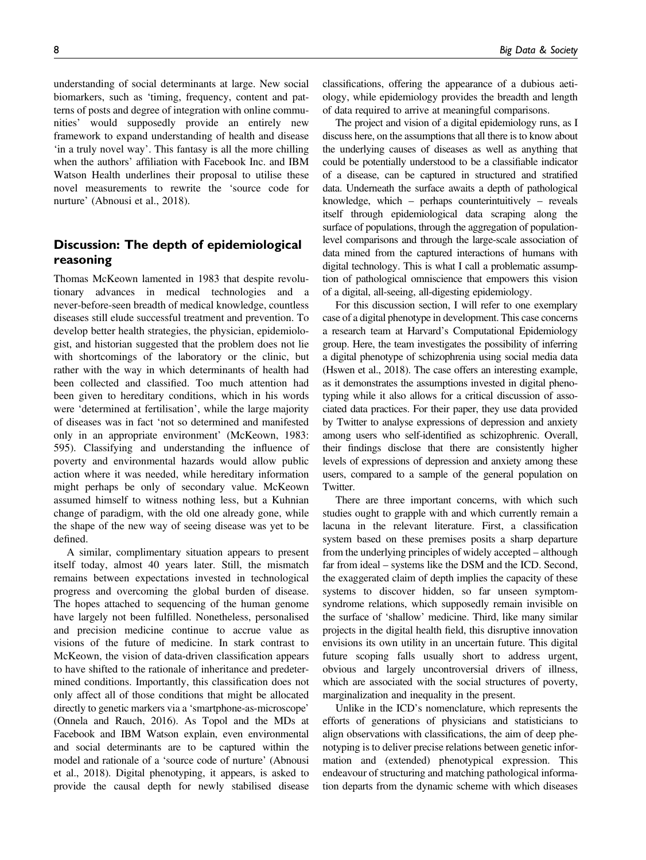understanding of social determinants at large. New social biomarkers, such as 'timing, frequency, content and patterns of posts and degree of integration with online communities' would supposedly provide an entirely new framework to expand understanding of health and disease 'in a truly novel way'. This fantasy is all the more chilling when the authors' affiliation with Facebook Inc. and IBM Watson Health underlines their proposal to utilise these novel measurements to rewrite the 'source code for nurture' (Abnousi et al., 2018).

## Discussion: The depth of epidemiological reasoning

Thomas McKeown lamented in 1983 that despite revolutionary advances in medical technologies and a never-before-seen breadth of medical knowledge, countless diseases still elude successful treatment and prevention. To develop better health strategies, the physician, epidemiologist, and historian suggested that the problem does not lie with shortcomings of the laboratory or the clinic, but rather with the way in which determinants of health had been collected and classified. Too much attention had been given to hereditary conditions, which in his words were 'determined at fertilisation', while the large majority of diseases was in fact 'not so determined and manifested only in an appropriate environment' (McKeown, 1983: 595). Classifying and understanding the influence of poverty and environmental hazards would allow public action where it was needed, while hereditary information might perhaps be only of secondary value. McKeown assumed himself to witness nothing less, but a Kuhnian change of paradigm, with the old one already gone, while the shape of the new way of seeing disease was yet to be defined.

A similar, complimentary situation appears to present itself today, almost 40 years later. Still, the mismatch remains between expectations invested in technological progress and overcoming the global burden of disease. The hopes attached to sequencing of the human genome have largely not been fulfilled. Nonetheless, personalised and precision medicine continue to accrue value as visions of the future of medicine. In stark contrast to McKeown, the vision of data-driven classification appears to have shifted to the rationale of inheritance and predetermined conditions. Importantly, this classification does not only affect all of those conditions that might be allocated directly to genetic markers via a 'smartphone-as-microscope' (Onnela and Rauch, 2016). As Topol and the MDs at Facebook and IBM Watson explain, even environmental and social determinants are to be captured within the model and rationale of a 'source code of nurture' (Abnousi et al., 2018). Digital phenotyping, it appears, is asked to provide the causal depth for newly stabilised disease classifications, offering the appearance of a dubious aetiology, while epidemiology provides the breadth and length of data required to arrive at meaningful comparisons.

The project and vision of a digital epidemiology runs, as I discuss here, on the assumptions that all there is to know about the underlying causes of diseases as well as anything that could be potentially understood to be a classifiable indicator of a disease, can be captured in structured and stratified data. Underneath the surface awaits a depth of pathological knowledge, which – perhaps counterintuitively – reveals itself through epidemiological data scraping along the surface of populations, through the aggregation of populationlevel comparisons and through the large-scale association of data mined from the captured interactions of humans with digital technology. This is what I call a problematic assumption of pathological omniscience that empowers this vision of a digital, all-seeing, all-digesting epidemiology.

For this discussion section, I will refer to one exemplary case of a digital phenotype in development. This case concerns a research team at Harvard's Computational Epidemiology group. Here, the team investigates the possibility of inferring a digital phenotype of schizophrenia using social media data (Hswen et al., 2018). The case offers an interesting example, as it demonstrates the assumptions invested in digital phenotyping while it also allows for a critical discussion of associated data practices. For their paper, they use data provided by Twitter to analyse expressions of depression and anxiety among users who self-identified as schizophrenic. Overall, their findings disclose that there are consistently higher levels of expressions of depression and anxiety among these users, compared to a sample of the general population on Twitter.

There are three important concerns, with which such studies ought to grapple with and which currently remain a lacuna in the relevant literature. First, a classification system based on these premises posits a sharp departure from the underlying principles of widely accepted – although far from ideal – systems like the DSM and the ICD. Second, the exaggerated claim of depth implies the capacity of these systems to discover hidden, so far unseen symptomsyndrome relations, which supposedly remain invisible on the surface of 'shallow' medicine. Third, like many similar projects in the digital health field, this disruptive innovation envisions its own utility in an uncertain future. This digital future scoping falls usually short to address urgent, obvious and largely uncontroversial drivers of illness, which are associated with the social structures of poverty, marginalization and inequality in the present.

Unlike in the ICD's nomenclature, which represents the efforts of generations of physicians and statisticians to align observations with classifications, the aim of deep phenotyping is to deliver precise relations between genetic information and (extended) phenotypical expression. This endeavour of structuring and matching pathological information departs from the dynamic scheme with which diseases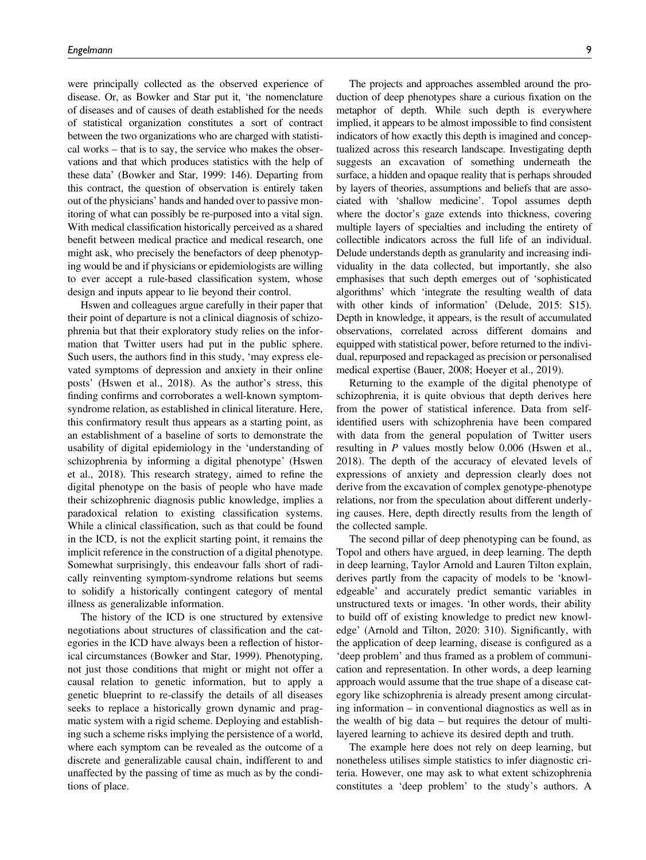were principally collected as the observed experience of disease. Or, as Bowker and Star put it, 'the nomenclature of diseases and of causes of death established for the needs of statistical organization constitutes a sort of contract between the two organizations who are charged with statistical works – that is to say, the service who makes the observations and that which produces statistics with the help of these data' (Bowker and Star, 1999: 146). Departing from this contract, the question of observation is entirely taken out of the physicians' hands and handed over to passive monitoring of what can possibly be re-purposed into a vital sign. With medical classification historically perceived as a shared benefit between medical practice and medical research, one might ask, who precisely the benefactors of deep phenotyping would be and if physicians or epidemiologists are willing to ever accept a rule-based classification system, whose design and inputs appear to lie beyond their control.

Hswen and colleagues argue carefully in their paper that their point of departure is not a clinical diagnosis of schizophrenia but that their exploratory study relies on the information that Twitter users had put in the public sphere. Such users, the authors find in this study, 'may express elevated symptoms of depression and anxiety in their online posts' (Hswen et al., 2018). As the author's stress, this finding confirms and corroborates a well-known symptomsyndrome relation, as established in clinical literature. Here, this confirmatory result thus appears as a starting point, as an establishment of a baseline of sorts to demonstrate the usability of digital epidemiology in the 'understanding of schizophrenia by informing a digital phenotype' (Hswen et al., 2018). This research strategy, aimed to refine the digital phenotype on the basis of people who have made their schizophrenic diagnosis public knowledge, implies a paradoxical relation to existing classification systems. While a clinical classification, such as that could be found in the ICD, is not the explicit starting point, it remains the implicit reference in the construction of a digital phenotype. Somewhat surprisingly, this endeavour falls short of radically reinventing symptom-syndrome relations but seems to solidify a historically contingent category of mental illness as generalizable information.

The history of the ICD is one structured by extensive negotiations about structures of classification and the categories in the ICD have always been a reflection of historical circumstances (Bowker and Star, 1999). Phenotyping, not just those conditions that might or might not offer a causal relation to genetic information, but to apply a genetic blueprint to re-classify the details of all diseases seeks to replace a historically grown dynamic and pragmatic system with a rigid scheme. Deploying and establishing such a scheme risks implying the persistence of a world, where each symptom can be revealed as the outcome of a discrete and generalizable causal chain, indifferent to and unaffected by the passing of time as much as by the conditions of place.

The projects and approaches assembled around the production of deep phenotypes share a curious fixation on the metaphor of depth. While such depth is everywhere implied, it appears to be almost impossible to find consistent indicators of how exactly this depth is imagined and conceptualized across this research landscape. Investigating depth suggests an excavation of something underneath the surface, a hidden and opaque reality that is perhaps shrouded by layers of theories, assumptions and beliefs that are associated with 'shallow medicine'. Topol assumes depth where the doctor's gaze extends into thickness, covering multiple layers of specialties and including the entirety of collectible indicators across the full life of an individual. Delude understands depth as granularity and increasing individuality in the data collected, but importantly, she also emphasises that such depth emerges out of 'sophisticated algorithms' which 'integrate the resulting wealth of data with other kinds of information' (Delude, 2015: S15). Depth in knowledge, it appears, is the result of accumulated observations, correlated across different domains and equipped with statistical power, before returned to the individual, repurposed and repackaged as precision or personalised medical expertise (Bauer, 2008; Hoeyer et al., 2019).

Returning to the example of the digital phenotype of schizophrenia, it is quite obvious that depth derives here from the power of statistical inference. Data from selfidentified users with schizophrenia have been compared with data from the general population of Twitter users resulting in P values mostly below 0.006 (Hswen et al., 2018). The depth of the accuracy of elevated levels of expressions of anxiety and depression clearly does not derive from the excavation of complex genotype-phenotype relations, nor from the speculation about different underlying causes. Here, depth directly results from the length of the collected sample.

The second pillar of deep phenotyping can be found, as Topol and others have argued, in deep learning. The depth in deep learning, Taylor Arnold and Lauren Tilton explain, derives partly from the capacity of models to be 'knowledgeable' and accurately predict semantic variables in unstructured texts or images. 'In other words, their ability to build off of existing knowledge to predict new knowledge' (Arnold and Tilton, 2020: 310). Significantly, with the application of deep learning, disease is configured as a 'deep problem' and thus framed as a problem of communication and representation. In other words, a deep learning approach would assume that the true shape of a disease category like schizophrenia is already present among circulating information – in conventional diagnostics as well as in the wealth of big data – but requires the detour of multilayered learning to achieve its desired depth and truth.

The example here does not rely on deep learning, but nonetheless utilises simple statistics to infer diagnostic criteria. However, one may ask to what extent schizophrenia constitutes a 'deep problem' to the study's authors. A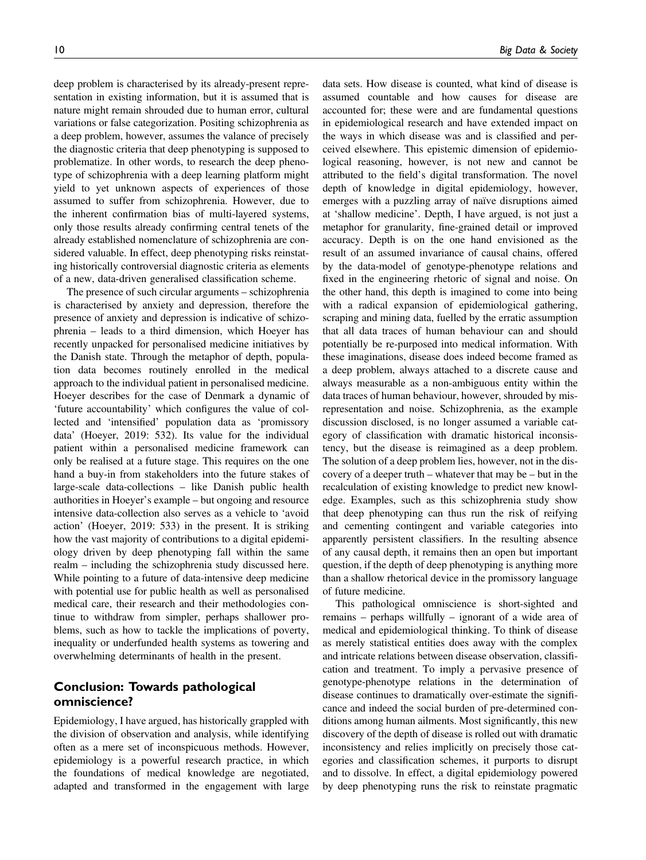deep problem is characterised by its already-present representation in existing information, but it is assumed that is nature might remain shrouded due to human error, cultural variations or false categorization. Positing schizophrenia as a deep problem, however, assumes the valance of precisely the diagnostic criteria that deep phenotyping is supposed to problematize. In other words, to research the deep phenotype of schizophrenia with a deep learning platform might yield to yet unknown aspects of experiences of those assumed to suffer from schizophrenia. However, due to the inherent confirmation bias of multi-layered systems, only those results already confirming central tenets of the already established nomenclature of schizophrenia are considered valuable. In effect, deep phenotyping risks reinstating historically controversial diagnostic criteria as elements of a new, data-driven generalised classification scheme.

The presence of such circular arguments – schizophrenia is characterised by anxiety and depression, therefore the presence of anxiety and depression is indicative of schizophrenia – leads to a third dimension, which Hoeyer has recently unpacked for personalised medicine initiatives by the Danish state. Through the metaphor of depth, population data becomes routinely enrolled in the medical approach to the individual patient in personalised medicine. Hoeyer describes for the case of Denmark a dynamic of 'future accountability' which configures the value of collected and 'intensified' population data as 'promissory data' (Hoeyer, 2019: 532). Its value for the individual patient within a personalised medicine framework can only be realised at a future stage. This requires on the one hand a buy-in from stakeholders into the future stakes of large-scale data-collections – like Danish public health authorities in Hoeyer's example – but ongoing and resource intensive data-collection also serves as a vehicle to 'avoid action' (Hoeyer, 2019: 533) in the present. It is striking how the vast majority of contributions to a digital epidemiology driven by deep phenotyping fall within the same realm – including the schizophrenia study discussed here. While pointing to a future of data-intensive deep medicine with potential use for public health as well as personalised medical care, their research and their methodologies continue to withdraw from simpler, perhaps shallower problems, such as how to tackle the implications of poverty, inequality or underfunded health systems as towering and overwhelming determinants of health in the present.

## Conclusion: Towards pathological omniscience?

Epidemiology, I have argued, has historically grappled with the division of observation and analysis, while identifying often as a mere set of inconspicuous methods. However, epidemiology is a powerful research practice, in which the foundations of medical knowledge are negotiated, adapted and transformed in the engagement with large

data sets. How disease is counted, what kind of disease is assumed countable and how causes for disease are accounted for; these were and are fundamental questions in epidemiological research and have extended impact on the ways in which disease was and is classified and perceived elsewhere. This epistemic dimension of epidemiological reasoning, however, is not new and cannot be attributed to the field's digital transformation. The novel depth of knowledge in digital epidemiology, however, emerges with a puzzling array of naïve disruptions aimed at 'shallow medicine'. Depth, I have argued, is not just a metaphor for granularity, fine-grained detail or improved accuracy. Depth is on the one hand envisioned as the result of an assumed invariance of causal chains, offered by the data-model of genotype-phenotype relations and fixed in the engineering rhetoric of signal and noise. On the other hand, this depth is imagined to come into being with a radical expansion of epidemiological gathering, scraping and mining data, fuelled by the erratic assumption that all data traces of human behaviour can and should potentially be re-purposed into medical information. With these imaginations, disease does indeed become framed as a deep problem, always attached to a discrete cause and always measurable as a non-ambiguous entity within the data traces of human behaviour, however, shrouded by misrepresentation and noise. Schizophrenia, as the example discussion disclosed, is no longer assumed a variable category of classification with dramatic historical inconsistency, but the disease is reimagined as a deep problem. The solution of a deep problem lies, however, not in the discovery of a deeper truth – whatever that may be – but in the recalculation of existing knowledge to predict new knowledge. Examples, such as this schizophrenia study show that deep phenotyping can thus run the risk of reifying and cementing contingent and variable categories into apparently persistent classifiers. In the resulting absence of any causal depth, it remains then an open but important question, if the depth of deep phenotyping is anything more than a shallow rhetorical device in the promissory language of future medicine.

This pathological omniscience is short-sighted and remains – perhaps willfully – ignorant of a wide area of medical and epidemiological thinking. To think of disease as merely statistical entities does away with the complex and intricate relations between disease observation, classification and treatment. To imply a pervasive presence of genotype-phenotype relations in the determination of disease continues to dramatically over-estimate the significance and indeed the social burden of pre-determined conditions among human ailments. Most significantly, this new discovery of the depth of disease is rolled out with dramatic inconsistency and relies implicitly on precisely those categories and classification schemes, it purports to disrupt and to dissolve. In effect, a digital epidemiology powered by deep phenotyping runs the risk to reinstate pragmatic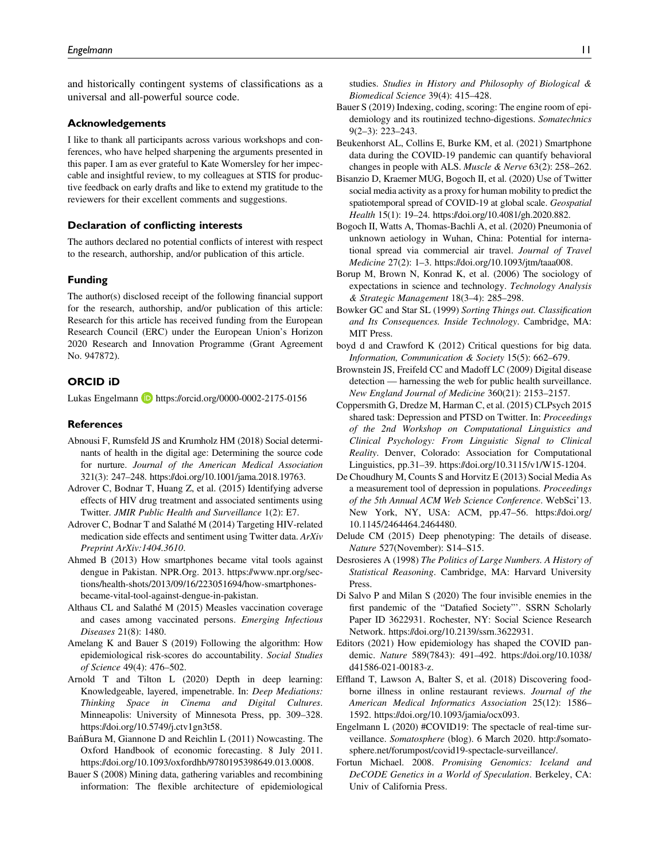and historically contingent systems of classifications as a universal and all-powerful source code.

#### Acknowledgements

I like to thank all participants across various workshops and conferences, who have helped sharpening the arguments presented in this paper. I am as ever grateful to Kate Womersley for her impeccable and insightful review, to my colleagues at STIS for productive feedback on early drafts and like to extend my gratitude to the reviewers for their excellent comments and suggestions.

#### Declaration of conflicting interests

The authors declared no potential conflicts of interest with respect to the research, authorship, and/or publication of this article.

#### Funding

The author(s) disclosed receipt of the following financial support for the research, authorship, and/or publication of this article: Research for this article has received funding from the European Research Council (ERC) under the European Union's Horizon 2020 Research and Innovation Programme (Grant Agreement No. 947872).

#### ORCID iD

Lukas Engelmann **D** <https://orcid.org/0000-0002-2175-0156>

#### **References**

- Abnousi F, Rumsfeld JS and Krumholz HM (2018) Social determinants of health in the digital age: Determining the source code for nurture. Journal of the American Medical Association 321(3): 247–248. [https://doi.org/10.1001/jama.2018.19763.](https://doi.org/https://doi.org/10.1001/jama.2018.19763)
- Adrover C, Bodnar T, Huang Z, et al. (2015) Identifying adverse effects of HIV drug treatment and associated sentiments using Twitter. JMIR Public Health and Surveillance 1(2): E7.
- Adrover C, Bodnar T and Salathé M (2014) Targeting HIV-related medication side effects and sentiment using Twitter data. ArXiv Preprint ArXiv:1404.3610.
- Ahmed B (2013) How smartphones became vital tools against dengue in Pakistan. NPR.Org. 2013. https://www.npr.org/sections/health-shots/2013/09/16/223051694/how-smartphonesbecame-vital-tool-against-dengue-in-pakistan.
- Althaus CL and Salathé M (2015) Measles vaccination coverage and cases among vaccinated persons. Emerging Infectious Diseases 21(8): 1480.
- Amelang K and Bauer S (2019) Following the algorithm: How epidemiological risk-scores do accountability. Social Studies of Science 49(4): 476–502.
- Arnold T and Tilton L (2020) Depth in deep learning: Knowledgeable, layered, impenetrable. In: Deep Mediations: Thinking Space in Cinema and Digital Cultures. Minneapolis: University of Minnesota Press, pp. 309–328. https://doi.org/10.5749/j.ctv1gn3t58.
- Bań Bura M, Giannone D and Reichlin L (2011) Nowcasting. The Oxford Handbook of economic forecasting. 8 July 2011. https://doi.org/10.1093/oxfordhb/9780195398649.013.0008.
- Bauer S (2008) Mining data, gathering variables and recombining information: The flexible architecture of epidemiological

studies. Studies in History and Philosophy of Biological & Biomedical Science 39(4): 415–428.

- Bauer S (2019) Indexing, coding, scoring: The engine room of epidemiology and its routinized techno-digestions. Somatechnics  $9(2-3)$ : 223-243.
- Beukenhorst AL, Collins E, Burke KM, et al. (2021) Smartphone data during the COVID-19 pandemic can quantify behavioral changes in people with ALS. Muscle & Nerve 63(2): 258–262.
- Bisanzio D, Kraemer MUG, Bogoch II, et al. (2020) Use of Twitter social media activity as a proxy for human mobility to predict the spatiotemporal spread of COVID-19 at global scale. Geospatial Health 15(1): 19–24. [https://doi.org/10.4081/gh.2020.882](https://doi.org/https://doi.org/10.4081/gh.2020.882).
- Bogoch II, Watts A, Thomas-Bachli A, et al. (2020) Pneumonia of unknown aetiology in Wuhan, China: Potential for international spread via commercial air travel. Journal of Travel Medicine 27(2): 1–3. [https://doi.org/10.1093/jtm/taaa008](https://doi.org/https://doi.org/10.1093/jtm/taaa008).
- Borup M, Brown N, Konrad K, et al. (2006) The sociology of expectations in science and technology. Technology Analysis & Strategic Management 18(3–4): 285–298.
- Bowker GC and Star SL (1999) Sorting Things out. Classification and Its Consequences. Inside Technology. Cambridge, MA: MIT Press.
- boyd d and Crawford K (2012) Critical questions for big data. Information, Communication & Society 15(5): 662–679.
- Brownstein JS, Freifeld CC and Madoff LC (2009) Digital disease detection — harnessing the web for public health surveillance. New England Journal of Medicine 360(21): 2153–2157.
- Coppersmith G, Dredze M, Harman C, et al. (2015) CLPsych 2015 shared task: Depression and PTSD on Twitter. In: Proceedings of the 2nd Workshop on Computational Linguistics and Clinical Psychology: From Linguistic Signal to Clinical Reality. Denver, Colorado: Association for Computational Linguistics, pp.31–39. https://doi.org/10.3115/v1/W15-1204.
- De Choudhury M, Counts S and Horvitz E (2013) Social Media As a measurement tool of depression in populations. Proceedings of the 5th Annual ACM Web Science Conference. WebSci'13. New York, NY, USA: ACM, pp.47–56. https://doi.org/ 10.1145/2464464.2464480.
- Delude CM (2015) Deep phenotyping: The details of disease. Nature 527(November): S14–S15.
- Desrosieres A (1998) The Politics of Large Numbers. A History of Statistical Reasoning. Cambridge, MA: Harvard University Press.
- Di Salvo P and Milan S (2020) The four invisible enemies in the first pandemic of the "Datafied Society"'. SSRN Scholarly Paper ID 3622931. Rochester, NY: Social Science Research Network. https://doi.org/10.2139/ssrn.3622931.
- Editors (2021) How epidemiology has shaped the COVID pandemic. Nature 589(7843): 491–492. https://doi.org/10.1038/ d41586-021-00183-z.
- Effland T, Lawson A, Balter S, et al. (2018) Discovering foodborne illness in online restaurant reviews. Journal of the American Medical Informatics Association 25(12): 1586– 1592. https://doi.org/10.1093/jamia/ocx093.
- Engelmann L (2020) #COVID19: The spectacle of real-time surveillance. Somatosphere (blog). 6 March 2020. http://somatosphere.net/forumpost/covid19-spectacle-surveillance/.
- Fortun Michael. 2008. Promising Genomics: Iceland and DeCODE Genetics in a World of Speculation. Berkeley, CA: Univ of California Press.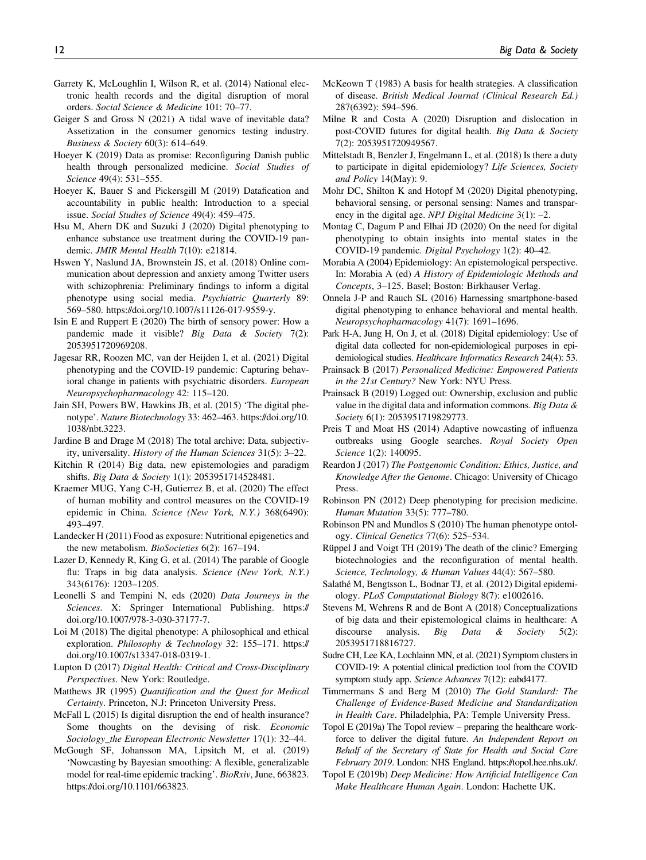- Garrety K, McLoughlin I, Wilson R, et al. (2014) National electronic health records and the digital disruption of moral orders. Social Science & Medicine 101: 70–77.
- Geiger S and Gross N (2021) A tidal wave of inevitable data? Assetization in the consumer genomics testing industry. Business & Society 60(3): 614–649.
- Hoeyer K (2019) Data as promise: Reconfiguring Danish public health through personalized medicine. Social Studies of Science 49(4): 531–555.
- Hoeyer K, Bauer S and Pickersgill M (2019) Datafication and accountability in public health: Introduction to a special issue. Social Studies of Science 49(4): 459–475.
- Hsu M, Ahern DK and Suzuki J (2020) Digital phenotyping to enhance substance use treatment during the COVID-19 pandemic. JMIR Mental Health 7(10): e21814.
- Hswen Y, Naslund JA, Brownstein JS, et al. (2018) Online communication about depression and anxiety among Twitter users with schizophrenia: Preliminary findings to inform a digital phenotype using social media. Psychiatric Quarterly 89: 569–580. [https://doi.org/10.1007/s11126-017-9559-y](https://doi.org/https://doi.org/10.1007/s11126-017-9559-y).
- Isin E and Ruppert E (2020) The birth of sensory power: How a pandemic made it visible? Big Data & Society 7(2): 2053951720969208.
- Jagesar RR, Roozen MC, van der Heijden I, et al. (2021) Digital phenotyping and the COVID-19 pandemic: Capturing behavioral change in patients with psychiatric disorders. European Neuropsychopharmacology 42: 115–120.
- Jain SH, Powers BW, Hawkins JB, et al. (2015) 'The digital phenotype'. Nature Biotechnology 33: 462–463. [https://doi.org/10.](https://doi.org/https://doi.org/10.1038/nbt.3223) [1038/nbt.3223.](https://doi.org/https://doi.org/10.1038/nbt.3223)
- Jardine B and Drage M (2018) The total archive: Data, subjectivity, universality. History of the Human Sciences 31(5): 3–22.
- Kitchin R (2014) Big data, new epistemologies and paradigm shifts. Big Data & Society 1(1): 2053951714528481.
- Kraemer MUG, Yang C-H, Gutierrez B, et al. (2020) The effect of human mobility and control measures on the COVID-19 epidemic in China. Science (New York, N.Y.) 368(6490): 493–497.
- Landecker H (2011) Food as exposure: Nutritional epigenetics and the new metabolism. BioSocieties 6(2): 167-194.
- Lazer D, Kennedy R, King G, et al. (2014) The parable of Google flu: Traps in big data analysis. Science (New York, N.Y.) 343(6176): 1203–1205.
- Leonelli S and Tempini N, eds (2020) Data Journeys in the Sciences. X: Springer International Publishing. https:// doi.org/10.1007/978-3-030-37177-7.
- Loi M (2018) The digital phenotype: A philosophical and ethical exploration. Philosophy & Technology 32: 155–171. [https://](https://doi.org/https://doi.org/10.1007/s13347-018-0319-1) [doi.org/10.1007/s13347-018-0319-1.](https://doi.org/https://doi.org/10.1007/s13347-018-0319-1)
- Lupton D (2017) Digital Health: Critical and Cross-Disciplinary Perspectives. New York: Routledge.
- Matthews JR (1995) Quantification and the Quest for Medical Certainty. Princeton, N.J: Princeton University Press.
- McFall L (2015) Is digital disruption the end of health insurance? Some thoughts on the devising of risk. Economic Sociology\_the European Electronic Newsletter 17(1): 32–44.
- McGough SF, Johansson MA, Lipsitch M, et al. (2019) 'Nowcasting by Bayesian smoothing: A flexible, generalizable model for real-time epidemic tracking'. BioRxiv, June, 663823. https://doi.org/10.1101/663823.
- McKeown T (1983) A basis for health strategies. A classification of disease. British Medical Journal (Clinical Research Ed.) 287(6392): 594–596.
- Milne R and Costa A (2020) Disruption and dislocation in post-COVID futures for digital health. Big Data & Society 7(2): 2053951720949567.
- Mittelstadt B, Benzler J, Engelmann L, et al. (2018) Is there a duty to participate in digital epidemiology? Life Sciences, Society and Policy 14(May): 9.
- Mohr DC, Shilton K and Hotopf M (2020) Digital phenotyping, behavioral sensing, or personal sensing: Names and transparency in the digital age. NPJ Digital Medicine  $3(1)$ : -2.
- Montag C, Dagum P and Elhai JD (2020) On the need for digital phenotyping to obtain insights into mental states in the COVID-19 pandemic. Digital Psychology 1(2): 40–42.
- Morabia A (2004) Epidemiology: An epistemological perspective. In: Morabia A (ed) A History of Epidemiologic Methods and Concepts, 3–125. Basel; Boston: Birkhauser Verlag.
- Onnela J-P and Rauch SL (2016) Harnessing smartphone-based digital phenotyping to enhance behavioral and mental health. Neuropsychopharmacology 41(7): 1691–1696.
- Park H-A, Jung H, On J, et al. (2018) Digital epidemiology: Use of digital data collected for non-epidemiological purposes in epidemiological studies. Healthcare Informatics Research 24(4): 53.
- Prainsack B (2017) Personalized Medicine: Empowered Patients in the 21st Century? New York: NYU Press.
- Prainsack B (2019) Logged out: Ownership, exclusion and public value in the digital data and information commons. Big Data  $\&$ Society 6(1): 2053951719829773.
- Preis T and Moat HS (2014) Adaptive nowcasting of influenza outbreaks using Google searches. Royal Society Open Science 1(2): 140095.
- Reardon J (2017) The Postgenomic Condition: Ethics, Justice, and Knowledge After the Genome. Chicago: University of Chicago Press.
- Robinson PN (2012) Deep phenotyping for precision medicine. Human Mutation 33(5): 777–780.
- Robinson PN and Mundlos S (2010) The human phenotype ontology. Clinical Genetics 77(6): 525–534.
- Rüppel J and Voigt TH (2019) The death of the clinic? Emerging biotechnologies and the reconfiguration of mental health. Science, Technology, & Human Values 44(4): 567–580.
- Salathé M, Bengtsson L, Bodnar TJ, et al. (2012) Digital epidemiology. PLoS Computational Biology 8(7): e1002616.
- Stevens M, Wehrens R and de Bont A (2018) Conceptualizations of big data and their epistemological claims in healthcare: A discourse analysis. Big Data & Society 5(2): 2053951718816727.
- Sudre CH, Lee KA, Lochlainn MN, et al. (2021) Symptom clusters in COVID-19: A potential clinical prediction tool from the COVID symptom study app. Science Advances 7(12): eabd4177.
- Timmermans S and Berg M (2010) The Gold Standard: The Challenge of Evidence-Based Medicine and Standardization in Health Care. Philadelphia, PA: Temple University Press.
- Topol E (2019a) The Topol review preparing the healthcare workforce to deliver the digital future. An Independent Report on Behalf of the Secretary of State for Health and Social Care February 2019. London: NHS England. https://topol.hee.nhs.uk/.
- Topol E (2019b) Deep Medicine: How Artificial Intelligence Can Make Healthcare Human Again. London: Hachette UK.